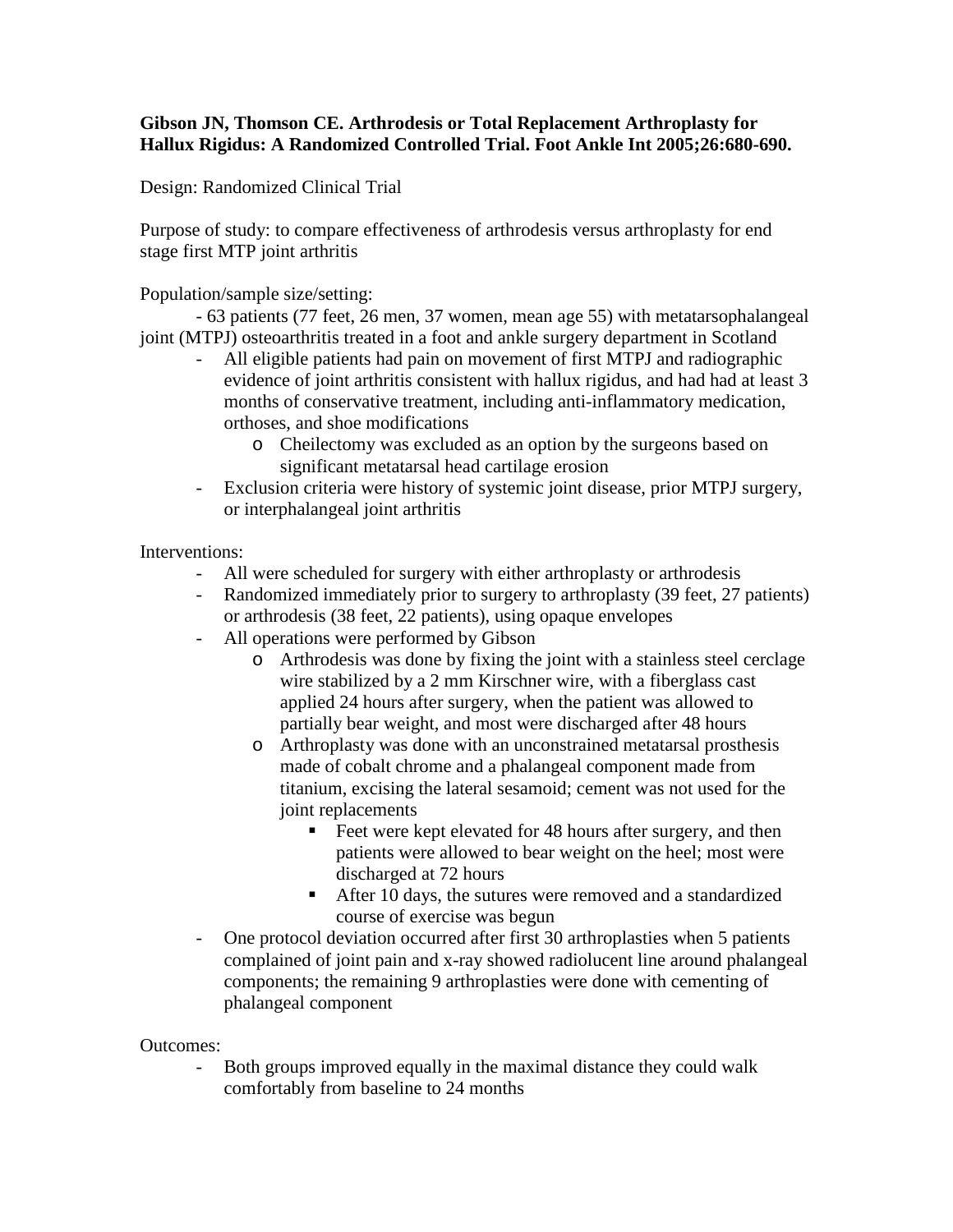## **Gibson JN, Thomson CE. Arthrodesis or Total Replacement Arthroplasty for Hallux Rigidus: A Randomized Controlled Trial. Foot Ankle Int 2005;26:680-690.**

Design: Randomized Clinical Trial

Purpose of study: to compare effectiveness of arthrodesis versus arthroplasty for end stage first MTP joint arthritis

Population/sample size/setting:

- 63 patients (77 feet, 26 men, 37 women, mean age 55) with metatarsophalangeal joint (MTPJ) osteoarthritis treated in a foot and ankle surgery department in Scotland

- All eligible patients had pain on movement of first MTPJ and radiographic evidence of joint arthritis consistent with hallux rigidus, and had had at least 3 months of conservative treatment, including anti-inflammatory medication, orthoses, and shoe modifications
	- o Cheilectomy was excluded as an option by the surgeons based on significant metatarsal head cartilage erosion
- Exclusion criteria were history of systemic joint disease, prior MTPJ surgery, or interphalangeal joint arthritis

Interventions:

- All were scheduled for surgery with either arthroplasty or arthrodesis
- Randomized immediately prior to surgery to arthroplasty (39 feet, 27 patients) or arthrodesis (38 feet, 22 patients), using opaque envelopes
- All operations were performed by Gibson
	- o Arthrodesis was done by fixing the joint with a stainless steel cerclage wire stabilized by a 2 mm Kirschner wire, with a fiberglass cast applied 24 hours after surgery, when the patient was allowed to partially bear weight, and most were discharged after 48 hours
	- o Arthroplasty was done with an unconstrained metatarsal prosthesis made of cobalt chrome and a phalangeal component made from titanium, excising the lateral sesamoid; cement was not used for the joint replacements
		- Feet were kept elevated for 48 hours after surgery, and then patients were allowed to bear weight on the heel; most were discharged at 72 hours
		- After 10 days, the sutures were removed and a standardized course of exercise was begun
- One protocol deviation occurred after first 30 arthroplasties when 5 patients complained of joint pain and x-ray showed radiolucent line around phalangeal components; the remaining 9 arthroplasties were done with cementing of phalangeal component

Outcomes:

- Both groups improved equally in the maximal distance they could walk comfortably from baseline to 24 months